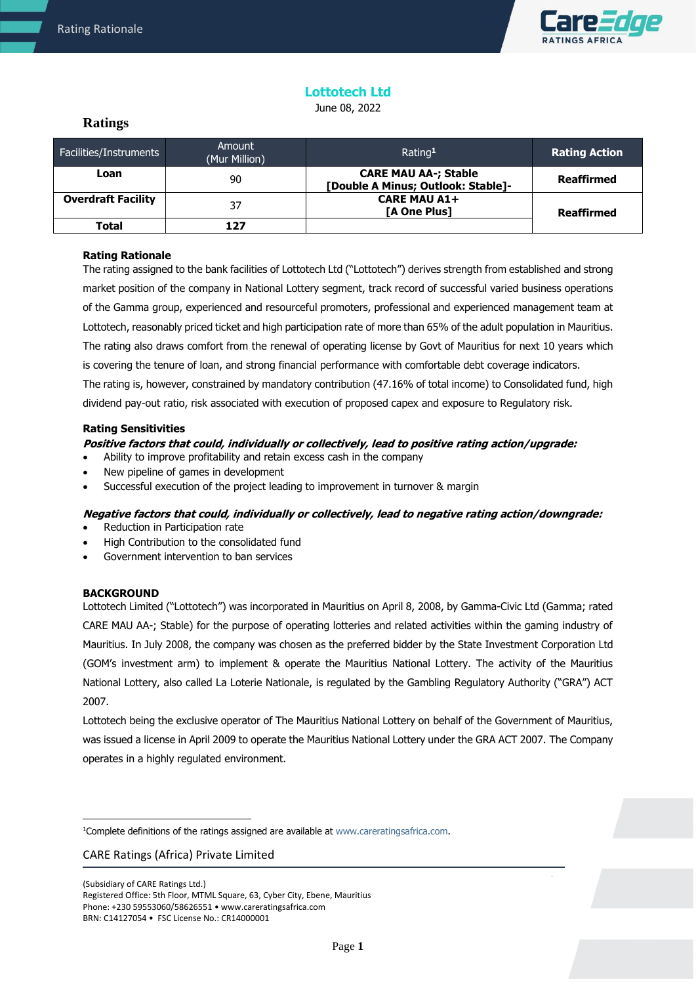

# **Lottotech Ltd**

June 08, 2022

# **Ratings**

| Facilities/Instruments    | Amount<br>(Mur Million) | Rating <sup>1</sup>                                               | <b>Rating Action</b> |
|---------------------------|-------------------------|-------------------------------------------------------------------|----------------------|
| Loan                      | 90                      | <b>CARE MAU AA-; Stable</b><br>[Double A Minus; Outlook: Stable]- | <b>Reaffirmed</b>    |
| <b>Overdraft Facility</b> | 37                      | <b>CARE MAU A1+</b><br><b>TA One Plus1</b>                        | <b>Reaffirmed</b>    |
| Total                     |                         |                                                                   |                      |

# **Rating Rationale**

The rating assigned to the bank facilities of Lottotech Ltd ("Lottotech") derives strength from established and strong market position of the company in National Lottery segment, track record of successful varied business operations of the Gamma group, experienced and resourceful promoters, professional and experienced management team at Lottotech, reasonably priced ticket and high participation rate of more than 65% of the adult population in Mauritius. The rating also draws comfort from the renewal of operating license by Govt of Mauritius for next 10 years which is covering the tenure of loan, and strong financial performance with comfortable debt coverage indicators. The rating is, however, constrained by mandatory contribution (47.16% of total income) to Consolidated fund, high dividend pay-out ratio, risk associated with execution of proposed capex and exposure to Regulatory risk.

# **Rating Sensitivities**

# **Positive factors that could, individually or collectively, lead to positive rating action/upgrade:**

- Ability to improve profitability and retain excess cash in the company
- New pipeline of games in development
- Successful execution of the project leading to improvement in turnover & margin

## **Negative factors that could, individually or collectively, lead to negative rating action/downgrade:**

- Reduction in Participation rate
- High Contribution to the consolidated fund
- Government intervention to ban services

# **BACKGROUND**

Lottotech Limited ("Lottotech") was incorporated in Mauritius on April 8, 2008, by Gamma-Civic Ltd (Gamma; rated CARE MAU AA-; Stable) for the purpose of operating lotteries and related activities within the gaming industry of Mauritius. In July 2008, the company was chosen as the preferred bidder by the State Investment Corporation Ltd (GOM's investment arm) to implement & operate the Mauritius National Lottery. The activity of the Mauritius National Lottery, also called La Loterie Nationale, is regulated by the Gambling Regulatory Authority ("GRA") ACT 2007.

Lottotech being the exclusive operator of The Mauritius National Lottery on behalf of the Government of Mauritius, was issued a license in April 2009 to operate the Mauritius National Lottery under the GRA ACT 2007. The Company operates in a highly regulated environment.

## CARE Ratings (Africa) Private Limited

<sup>&</sup>lt;sup>1</sup>Complete definitions of the ratings assigned are available at www.careratingsafrica.com.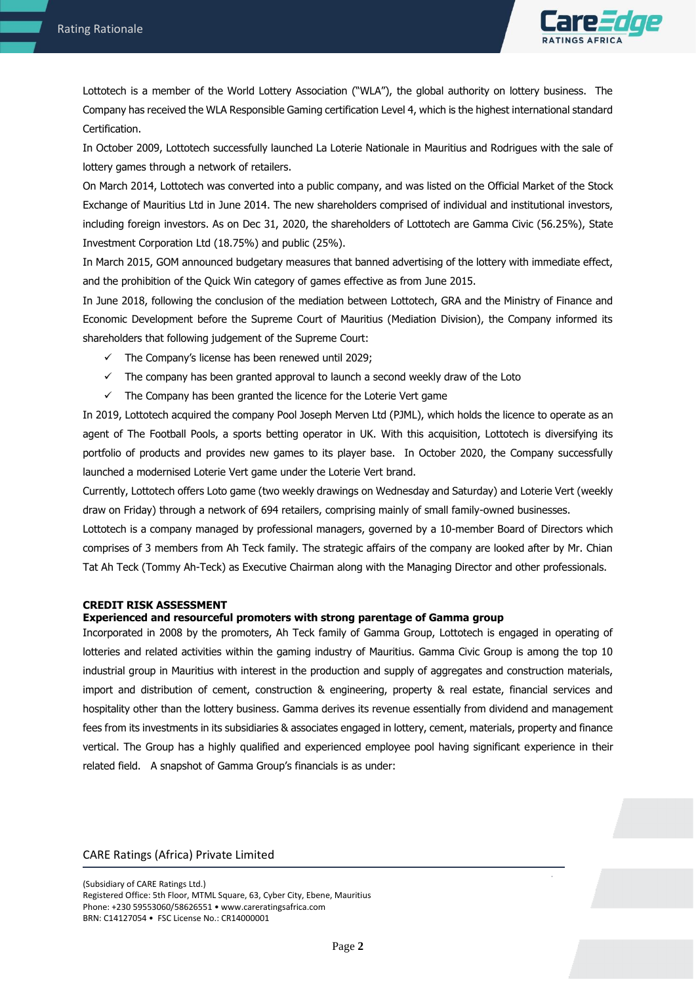

Lottotech is a member of the World Lottery Association ("WLA"), the global authority on lottery business. The Company has received the WLA Responsible Gaming certification Level 4, which is the highest international standard Certification.

In October 2009, Lottotech successfully launched La Loterie Nationale in Mauritius and Rodrigues with the sale of lottery games through a network of retailers.

On March 2014, Lottotech was converted into a public company, and was listed on the Official Market of the Stock Exchange of Mauritius Ltd in June 2014. The new shareholders comprised of individual and institutional investors, including foreign investors. As on Dec 31, 2020, the shareholders of Lottotech are Gamma Civic (56.25%), State Investment Corporation Ltd (18.75%) and public (25%).

In March 2015, GOM announced budgetary measures that banned advertising of the lottery with immediate effect, and the prohibition of the Quick Win category of games effective as from June 2015.

In June 2018, following the conclusion of the mediation between Lottotech, GRA and the Ministry of Finance and Economic Development before the Supreme Court of Mauritius (Mediation Division), the Company informed its shareholders that following judgement of the Supreme Court:

- $\checkmark$  The Company's license has been renewed until 2029;
- $\checkmark$  The company has been granted approval to launch a second weekly draw of the Loto
- $\checkmark$  The Company has been granted the licence for the Loterie Vert game

In 2019, Lottotech acquired the company Pool Joseph Merven Ltd (PJML), which holds the licence to operate as an agent of The Football Pools, a sports betting operator in UK. With this acquisition, Lottotech is diversifying its portfolio of products and provides new games to its player base. In October 2020, the Company successfully launched a modernised Loterie Vert game under the Loterie Vert brand.

Currently, Lottotech offers Loto game (two weekly drawings on Wednesday and Saturday) and Loterie Vert (weekly draw on Friday) through a network of 694 retailers, comprising mainly of small family-owned businesses.

Lottotech is a company managed by professional managers, governed by a 10-member Board of Directors which comprises of 3 members from Ah Teck family. The strategic affairs of the company are looked after by Mr. Chian Tat Ah Teck (Tommy Ah-Teck) as Executive Chairman along with the Managing Director and other professionals.

## **CREDIT RISK ASSESSMENT**

### **Experienced and resourceful promoters with strong parentage of Gamma group**

Incorporated in 2008 by the promoters, Ah Teck family of Gamma Group, Lottotech is engaged in operating of lotteries and related activities within the gaming industry of Mauritius. Gamma Civic Group is among the top 10 industrial group in Mauritius with interest in the production and supply of aggregates and construction materials, import and distribution of cement, construction & engineering, property & real estate, financial services and hospitality other than the lottery business. Gamma derives its revenue essentially from dividend and management fees from its investments in its subsidiaries & associates engaged in lottery, cement, materials, property and finance vertical. The Group has a highly qualified and experienced employee pool having significant experience in their related field. A snapshot of Gamma Group's financials is as under:

## CARE Ratings (Africa) Private Limited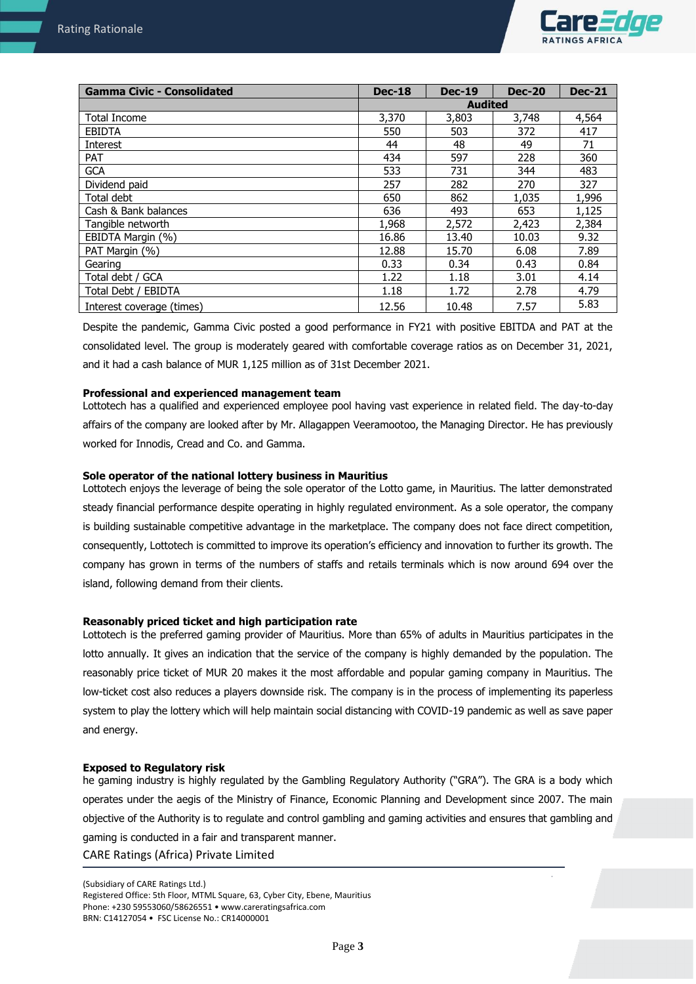

| <b>Gamma Civic - Consolidated</b> | <b>Dec-18</b>  | <b>Dec-19</b> | <b>Dec-20</b> | <b>Dec-21</b> |
|-----------------------------------|----------------|---------------|---------------|---------------|
|                                   | <b>Audited</b> |               |               |               |
| <b>Total Income</b>               | 3,370          | 3,803         | 3,748         | 4,564         |
| <b>EBIDTA</b>                     | 550            | 503           | 372           | 417           |
| Interest                          | 44             | 48            | 49            | 71            |
| <b>PAT</b>                        | 434            | 597           | 228           | 360           |
| <b>GCA</b>                        | 533            | 731           | 344           | 483           |
| Dividend paid                     | 257            | 282           | 270           | 327           |
| Total debt                        | 650            | 862           | 1,035         | 1,996         |
| Cash & Bank balances              | 636            | 493           | 653           | 1,125         |
| Tangible networth                 | 1,968          | 2,572         | 2,423         | 2,384         |
| EBIDTA Margin (%)                 | 16.86          | 13.40         | 10.03         | 9.32          |
| PAT Margin (%)                    | 12.88          | 15.70         | 6.08          | 7.89          |
| Gearing                           | 0.33           | 0.34          | 0.43          | 0.84          |
| Total debt / GCA                  | 1.22           | 1.18          | 3.01          | 4.14          |
| Total Debt / EBIDTA               | 1.18           | 1.72          | 2.78          | 4.79          |
| Interest coverage (times)         | 12.56          | 10.48         | 7.57          | 5.83          |

Despite the pandemic, Gamma Civic posted a good performance in FY21 with positive EBITDA and PAT at the consolidated level. The group is moderately geared with comfortable coverage ratios as on December 31, 2021, and it had a cash balance of MUR 1,125 million as of 31st December 2021.

## **Professional and experienced management team**

Lottotech has a qualified and experienced employee pool having vast experience in related field. The day-to-day affairs of the company are looked after by Mr. Allagappen Veeramootoo, the Managing Director. He has previously worked for Innodis, Cread and Co. and Gamma.

## **Sole operator of the national lottery business in Mauritius**

Lottotech enjoys the leverage of being the sole operator of the Lotto game, in Mauritius. The latter demonstrated steady financial performance despite operating in highly regulated environment. As a sole operator, the company is building sustainable competitive advantage in the marketplace. The company does not face direct competition, consequently, Lottotech is committed to improve its operation's efficiency and innovation to further its growth. The company has grown in terms of the numbers of staffs and retails terminals which is now around 694 over the island, following demand from their clients.

## **Reasonably priced ticket and high participation rate**

Lottotech is the preferred gaming provider of Mauritius. More than 65% of adults in Mauritius participates in the lotto annually. It gives an indication that the service of the company is highly demanded by the population. The reasonably price ticket of MUR 20 makes it the most affordable and popular gaming company in Mauritius. The low-ticket cost also reduces a players downside risk. The company is in the process of implementing its paperless system to play the lottery which will help maintain social distancing with COVID-19 pandemic as well as save paper and energy.

## **Exposed to Regulatory risk**

CARE Ratings (Africa) Private Limited he gaming industry is highly regulated by the Gambling Regulatory Authority ("GRA"). The GRA is a body which operates under the aegis of the Ministry of Finance, Economic Planning and Development since 2007. The main objective of the Authority is to regulate and control gambling and gaming activities and ensures that gambling and gaming is conducted in a fair and transparent manner.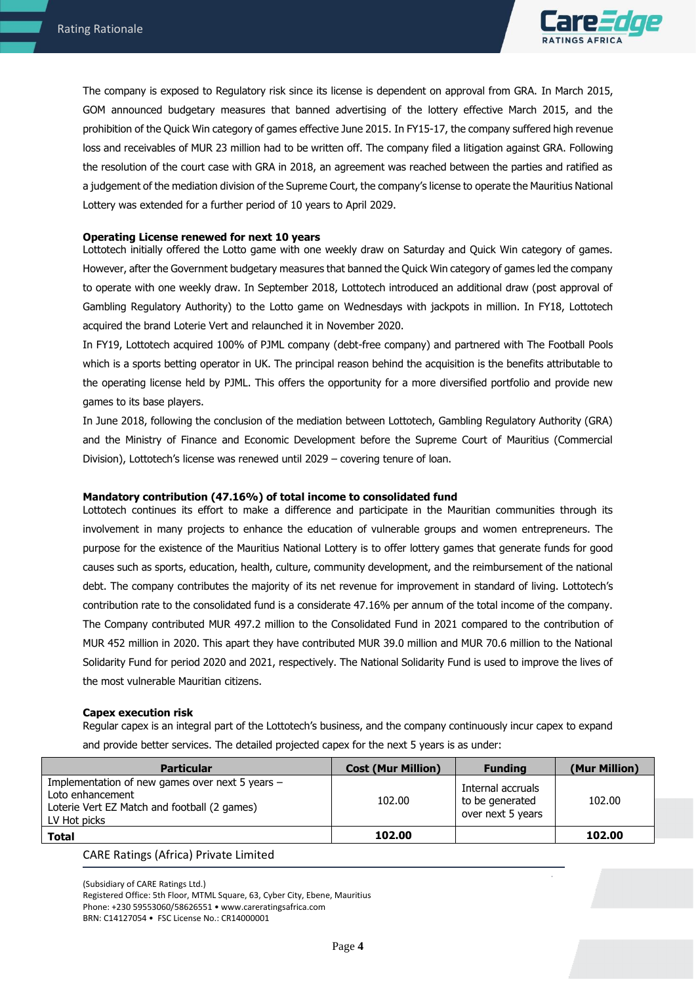

The company is exposed to Regulatory risk since its license is dependent on approval from GRA. In March 2015, GOM announced budgetary measures that banned advertising of the lottery effective March 2015, and the prohibition of the Quick Win category of games effective June 2015. In FY15-17, the company suffered high revenue loss and receivables of MUR 23 million had to be written off. The company filed a litigation against GRA. Following the resolution of the court case with GRA in 2018, an agreement was reached between the parties and ratified as a judgement of the mediation division of the Supreme Court, the company's license to operate the Mauritius National Lottery was extended for a further period of 10 years to April 2029.

### **Operating License renewed for next 10 years**

Lottotech initially offered the Lotto game with one weekly draw on Saturday and Quick Win category of games. However, after the Government budgetary measures that banned the Quick Win category of games led the company to operate with one weekly draw. In September 2018, Lottotech introduced an additional draw (post approval of Gambling Regulatory Authority) to the Lotto game on Wednesdays with jackpots in million. In FY18, Lottotech acquired the brand Loterie Vert and relaunched it in November 2020.

In FY19, Lottotech acquired 100% of PJML company (debt-free company) and partnered with The Football Pools which is a sports betting operator in UK. The principal reason behind the acquisition is the benefits attributable to the operating license held by PJML. This offers the opportunity for a more diversified portfolio and provide new games to its base players.

In June 2018, following the conclusion of the mediation between Lottotech, Gambling Regulatory Authority (GRA) and the Ministry of Finance and Economic Development before the Supreme Court of Mauritius (Commercial Division), Lottotech's license was renewed until 2029 – covering tenure of loan.

#### **Mandatory contribution (47.16%) of total income to consolidated fund**

Lottotech continues its effort to make a difference and participate in the Mauritian communities through its involvement in many projects to enhance the education of vulnerable groups and women entrepreneurs. The purpose for the existence of the Mauritius National Lottery is to offer lottery games that generate funds for good causes such as sports, education, health, culture, community development, and the reimbursement of the national debt. The company contributes the majority of its net revenue for improvement in standard of living. Lottotech's contribution rate to the consolidated fund is a considerate 47.16% per annum of the total income of the company. The Company contributed MUR 497.2 million to the Consolidated Fund in 2021 compared to the contribution of MUR 452 million in 2020. This apart they have contributed MUR 39.0 million and MUR 70.6 million to the National Solidarity Fund for period 2020 and 2021, respectively. The National Solidarity Fund is used to improve the lives of the most vulnerable Mauritian citizens.

#### **Capex execution risk**

Regular capex is an integral part of the Lottotech's business, and the company continuously incur capex to expand and provide better services. The detailed projected capex for the next 5 years is as under:

| <b>Particular</b>                                                                                                                   | <b>Cost (Mur Million)</b> | <b>Funding</b>                                            | (Mur Million) |
|-------------------------------------------------------------------------------------------------------------------------------------|---------------------------|-----------------------------------------------------------|---------------|
| Implementation of new games over next 5 years -<br>Loto enhancement<br>Loterie Vert EZ Match and football (2 games)<br>LV Hot picks | 102.00                    | Internal accruals<br>to be generated<br>over next 5 years | 102.00        |
| <b>Total</b>                                                                                                                        | 102.00                    |                                                           | 102.00        |

CARE Ratings (Africa) Private Limited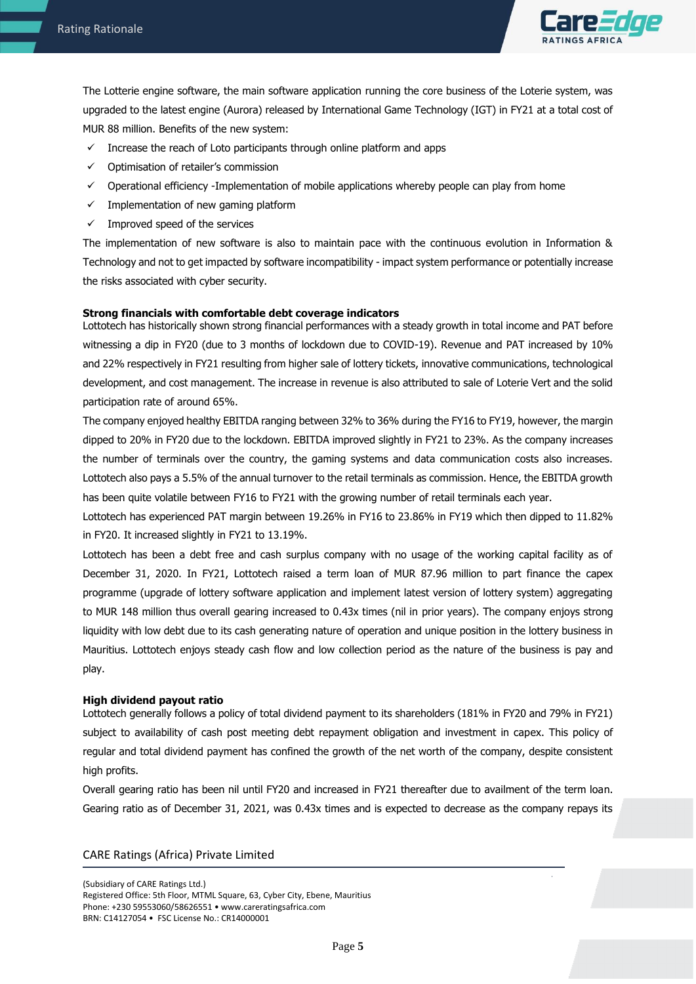

The Lotterie engine software, the main software application running the core business of the Loterie system, was upgraded to the latest engine (Aurora) released by International Game Technology (IGT) in FY21 at a total cost of MUR 88 million. Benefits of the new system:

- $\checkmark$  Increase the reach of Loto participants through online platform and apps
- ✓ Optimisation of retailer's commission
- ✓ Operational efficiency -Implementation of mobile applications whereby people can play from home
- $\checkmark$  Implementation of new gaming platform
- $\checkmark$  Improved speed of the services

The implementation of new software is also to maintain pace with the continuous evolution in Information & Technology and not to get impacted by software incompatibility - impact system performance or potentially increase the risks associated with cyber security.

### **Strong financials with comfortable debt coverage indicators**

Lottotech has historically shown strong financial performances with a steady growth in total income and PAT before witnessing a dip in FY20 (due to 3 months of lockdown due to COVID-19). Revenue and PAT increased by 10% and 22% respectively in FY21 resulting from higher sale of lottery tickets, innovative communications, technological development, and cost management. The increase in revenue is also attributed to sale of Loterie Vert and the solid participation rate of around 65%.

The company enjoyed healthy EBITDA ranging between 32% to 36% during the FY16 to FY19, however, the margin dipped to 20% in FY20 due to the lockdown. EBITDA improved slightly in FY21 to 23%. As the company increases the number of terminals over the country, the gaming systems and data communication costs also increases. Lottotech also pays a 5.5% of the annual turnover to the retail terminals as commission. Hence, the EBITDA growth has been quite volatile between FY16 to FY21 with the growing number of retail terminals each year.

Lottotech has experienced PAT margin between 19.26% in FY16 to 23.86% in FY19 which then dipped to 11.82% in FY20. It increased slightly in FY21 to 13.19%.

Lottotech has been a debt free and cash surplus company with no usage of the working capital facility as of December 31, 2020. In FY21, Lottotech raised a term loan of MUR 87.96 million to part finance the capex programme (upgrade of lottery software application and implement latest version of lottery system) aggregating to MUR 148 million thus overall gearing increased to 0.43x times (nil in prior years). The company enjoys strong liquidity with low debt due to its cash generating nature of operation and unique position in the lottery business in Mauritius. Lottotech enjoys steady cash flow and low collection period as the nature of the business is pay and play.

#### **High dividend payout ratio**

Lottotech generally follows a policy of total dividend payment to its shareholders (181% in FY20 and 79% in FY21) subject to availability of cash post meeting debt repayment obligation and investment in capex. This policy of regular and total dividend payment has confined the growth of the net worth of the company, despite consistent high profits.

Overall gearing ratio has been nil until FY20 and increased in FY21 thereafter due to availment of the term loan. Gearing ratio as of December 31, 2021, was 0.43x times and is expected to decrease as the company repays its

## CARE Ratings (Africa) Private Limited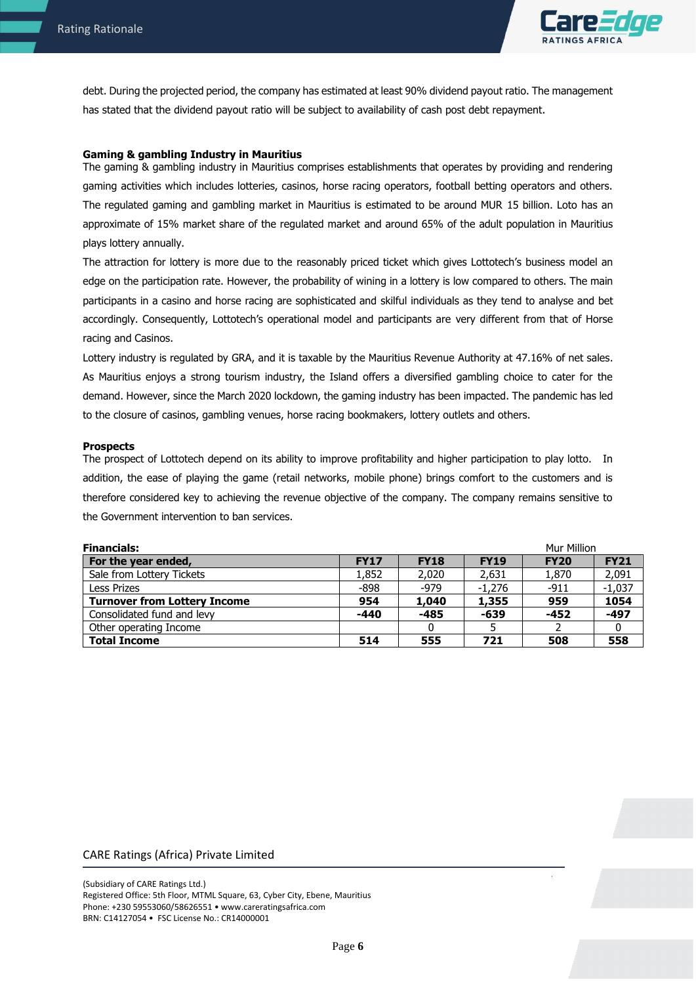

debt. During the projected period, the company has estimated at least 90% dividend payout ratio. The management has stated that the dividend payout ratio will be subject to availability of cash post debt repayment.

## **Gaming & gambling Industry in Mauritius**

The gaming & gambling industry in Mauritius comprises establishments that operates by providing and rendering gaming activities which includes lotteries, casinos, horse racing operators, football betting operators and others. The regulated gaming and gambling market in Mauritius is estimated to be around MUR 15 billion. Loto has an approximate of 15% market share of the regulated market and around 65% of the adult population in Mauritius plays lottery annually.

The attraction for lottery is more due to the reasonably priced ticket which gives Lottotech's business model an edge on the participation rate. However, the probability of wining in a lottery is low compared to others. The main participants in a casino and horse racing are sophisticated and skilful individuals as they tend to analyse and bet accordingly. Consequently, Lottotech's operational model and participants are very different from that of Horse racing and Casinos.

Lottery industry is regulated by GRA, and it is taxable by the Mauritius Revenue Authority at 47.16% of net sales. As Mauritius enjoys a strong tourism industry, the Island offers a diversified gambling choice to cater for the demand. However, since the March 2020 lockdown, the gaming industry has been impacted. The pandemic has led to the closure of casinos, gambling venues, horse racing bookmakers, lottery outlets and others.

## **Prospects**

The prospect of Lottotech depend on its ability to improve profitability and higher participation to play lotto. In addition, the ease of playing the game (retail networks, mobile phone) brings comfort to the customers and is therefore considered key to achieving the revenue objective of the company. The company remains sensitive to the Government intervention to ban services.

| <b>Financials:</b>                  |             |             |             | Mur Million |             |
|-------------------------------------|-------------|-------------|-------------|-------------|-------------|
| For the year ended,                 | <b>FY17</b> | <b>FY18</b> | <b>FY19</b> | <b>FY20</b> | <b>FY21</b> |
| Sale from Lottery Tickets           | 1,852       | 2,020       | 2,631       | 1,870       | 2,091       |
| <b>Less Prizes</b>                  | -898        | -979        | $-1.276$    | $-911$      | $-1,037$    |
| <b>Turnover from Lottery Income</b> | 954         | 1,040       | 1,355       | 959         | 1054        |
| Consolidated fund and levy          | $-440$      | $-485$      | -639        | $-452$      | $-497$      |
| Other operating Income              |             | O           |             |             |             |
| <b>Total Income</b>                 | 514         | 555         | 721         | 508         | 558         |

## CARE Ratings (Africa) Private Limited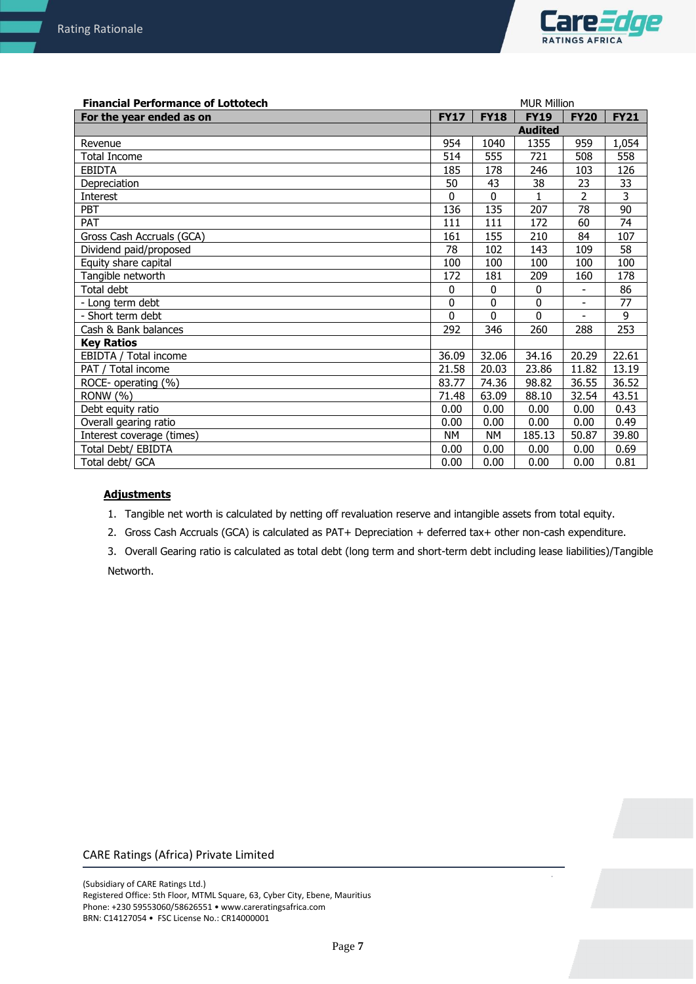

| <b>Financial Performance of Lottotech</b> |             |                | <b>MUR Million</b> |                |             |
|-------------------------------------------|-------------|----------------|--------------------|----------------|-------------|
| For the year ended as on                  | <b>FY17</b> | <b>FY18</b>    | <b>FY19</b>        | <b>FY20</b>    | <b>FY21</b> |
|                                           |             | <b>Audited</b> |                    |                |             |
| Revenue                                   | 954         | 1040           | 1355               | 959            | 1,054       |
| <b>Total Income</b>                       | 514         | 555            | 721                | 508            | 558         |
| <b>EBIDTA</b>                             | 185         | 178            | 246                | 103            | 126         |
| Depreciation                              | 50          | 43             | 38                 | 23             | 33          |
| Interest                                  | $\Omega$    | 0              | 1                  | 2              | 3           |
| PBT                                       | 136         | 135            | 207                | 78             | 90          |
| PAT                                       | 111         | 111            | 172                | 60             | 74          |
| Gross Cash Accruals (GCA)                 | 161         | 155            | 210                | 84             | 107         |
| Dividend paid/proposed                    | 78          | 102            | 143                | 109            | 58          |
| Equity share capital                      | 100         | 100            | 100                | 100            | 100         |
| Tangible networth                         | 172         | 181            | 209                | 160            | 178         |
| Total debt                                | 0           | 0              | $\mathbf{0}$       | -              | 86          |
| - Long term debt                          | 0           | $\Omega$       | 0                  | $\blacksquare$ | 77          |
| - Short term debt                         | 0           | 0              | $\Omega$           | $\overline{a}$ | 9           |
| Cash & Bank balances                      | 292         | 346            | 260                | 288            | 253         |
| <b>Key Ratios</b>                         |             |                |                    |                |             |
| EBIDTA / Total income                     | 36.09       | 32.06          | 34.16              | 20.29          | 22.61       |
| PAT / Total income                        | 21.58       | 20.03          | 23.86              | 11.82          | 13.19       |
| ROCE- operating (%)                       | 83.77       | 74.36          | 98.82              | 36.55          | 36.52       |
| RONW (%)                                  | 71.48       | 63.09          | 88.10              | 32.54          | 43.51       |
| Debt equity ratio                         | 0.00        | 0.00           | 0.00               | 0.00           | 0.43        |
| Overall gearing ratio                     | 0.00        | 0.00           | 0.00               | 0.00           | 0.49        |
| Interest coverage (times)                 | <b>NM</b>   | <b>NM</b>      | 185.13             | 50.87          | 39.80       |
| Total Debt/ EBIDTA                        | 0.00        | 0.00           | 0.00               | 0.00           | 0.69        |
| Total debt/ GCA                           | 0.00        | 0.00           | 0.00               | 0.00           | 0.81        |

# **Adjustments**

1. Tangible net worth is calculated by netting off revaluation reserve and intangible assets from total equity.

2. Gross Cash Accruals (GCA) is calculated as PAT+ Depreciation + deferred tax+ other non-cash expenditure.

3. Overall Gearing ratio is calculated as total debt (long term and short-term debt including lease liabilities)/Tangible Networth.

# CARE Ratings (Africa) Private Limited

(Subsidiary of CARE Ratings Ltd.) Registered Office: 5th Floor, MTML Square, 63, Cyber City, Ebene, Mauritius Phone: +230 59553060/58626551 • www.careratingsafrica.com BRN: C14127054 • FSC License No.: CR14000001

 $\bar{z}$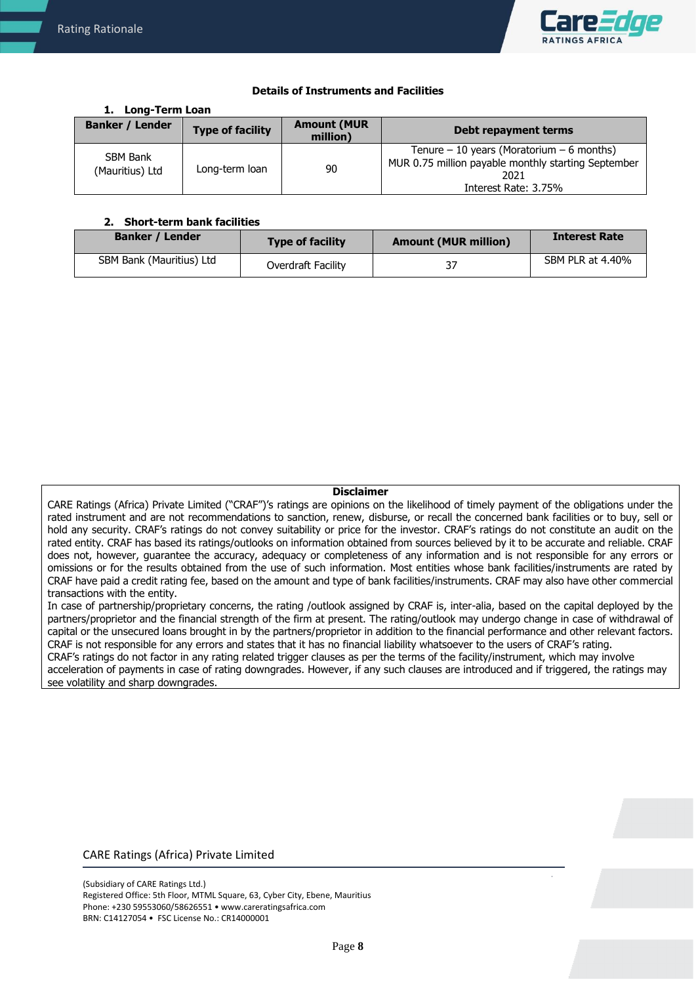

## **Details of Instruments and Facilities**

#### **1. Long-Term Loan Banker / Lender Type of facility Amount (MUR** million) **million) Debt repayment terms** SBM Bank (Mauritius) Ltd | Long-term loan | 90 Tenure  $-10$  years (Moratorium  $-6$  months) MUR 0.75 million payable monthly starting September 2021 Interest Rate: 3.75%

## **2. Short-term bank facilities**

| <b>Banker / Lender</b>   | <b>Type of facility</b> | <b>Amount (MUR million)</b> | <b>Interest Rate</b> |
|--------------------------|-------------------------|-----------------------------|----------------------|
| SBM Bank (Mauritius) Ltd | Overdraft Facility      |                             | SBM PLR at 4.40%     |

#### **Disclaimer**

CARE Ratings (Africa) Private Limited ("CRAF")'s ratings are opinions on the likelihood of timely payment of the obligations under the rated instrument and are not recommendations to sanction, renew, disburse, or recall the concerned bank facilities or to buy, sell or hold any security. CRAF's ratings do not convey suitability or price for the investor. CRAF's ratings do not constitute an audit on the rated entity. CRAF has based its ratings/outlooks on information obtained from sources believed by it to be accurate and reliable. CRAF does not, however, guarantee the accuracy, adequacy or completeness of any information and is not responsible for any errors or omissions or for the results obtained from the use of such information. Most entities whose bank facilities/instruments are rated by CRAF have paid a credit rating fee, based on the amount and type of bank facilities/instruments. CRAF may also have other commercial transactions with the entity.

In case of partnership/proprietary concerns, the rating /outlook assigned by CRAF is, inter-alia, based on the capital deployed by the partners/proprietor and the financial strength of the firm at present. The rating/outlook may undergo change in case of withdrawal of capital or the unsecured loans brought in by the partners/proprietor in addition to the financial performance and other relevant factors. CRAF is not responsible for any errors and states that it has no financial liability whatsoever to the users of CRAF's rating. CRAF's ratings do not factor in any rating related trigger clauses as per the terms of the facility/instrument, which may involve

acceleration of payments in case of rating downgrades. However, if any such clauses are introduced and if triggered, the ratings may see volatility and sharp downgrades.

# CARE Ratings (Africa) Private Limited